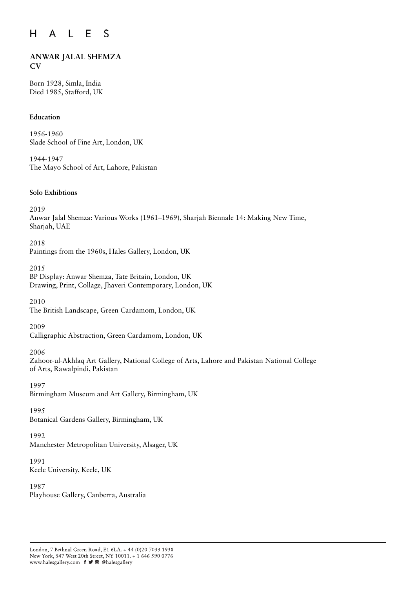#### $H$  $E$  $\mathsf{S}$  $\mathsf{A}$  $\mathsf{L}$

# **ANWAR JALAL SHEMZA CV**

Born 1928, Simla, India Died 1985, Stafford, UK

# **Education**

1956-1960 Slade School of Fine Art, London, UK

1944-1947 The Mayo School of Art, Lahore, Pakistan

### **Solo Exhibtions**

2019

Anwar Jalal Shemza: Various Works (1961–1969), Sharjah Biennale 14: Making New Time, Sharjah, UAE

2018 Paintings from the 1960s, Hales Gallery, London, UK

2015 BP Display: Anwar Shemza, Tate Britain, London, UK Drawing, Print, Collage, Jhaveri Contemporary, London, UK

2010 The British Landscape, Green Cardamom, London, UK

2009

Calligraphic Abstraction, Green Cardamom, London, UK

# 2006

Zahoor-ul-Akhlaq Art Gallery, National College of Arts, Lahore and Pakistan National College of Arts, Rawalpindi, Pakistan

1997 Birmingham Museum and Art Gallery, Birmingham, UK

# 1995

Botanical Gardens Gallery, Birmingham, UK

# 1992

Manchester Metropolitan University, Alsager, UK

### 1991 Keele University, Keele, UK

1987 Playhouse Gallery, Canberra, Australia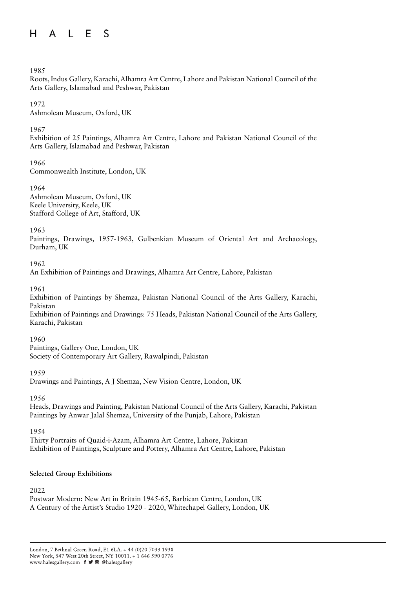#### A L E  $H$ S

## 1985

Roots, Indus Gallery, Karachi, Alhamra Art Centre, Lahore and Pakistan National Council of the Arts Gallery, Islamabad and Peshwar, Pakistan

1972

Ashmolean Museum, Oxford, UK

1967

Exhibition of 25 Paintings, Alhamra Art Centre, Lahore and Pakistan National Council of the Arts Gallery, Islamabad and Peshwar, Pakistan

1966

Commonwealth Institute, London, UK

1964 Ashmolean Museum, Oxford, UK Keele University, Keele, UK Stafford College of Art, Stafford, UK

1963

Paintings, Drawings, 1957-1963, Gulbenkian Museum of Oriental Art and Archaeology, Durham, UK

1962

An Exhibition of Paintings and Drawings, Alhamra Art Centre, Lahore, Pakistan

1961

Exhibition of Paintings by Shemza, Pakistan National Council of the Arts Gallery, Karachi, Pakistan

Exhibition of Paintings and Drawings: 75 Heads, Pakistan National Council of the Arts Gallery, Karachi, Pakistan

1960

Paintings, Gallery One, London, UK Society of Contemporary Art Gallery, Rawalpindi, Pakistan

1959

Drawings and Paintings, A J Shemza, New Vision Centre, London, UK

1956

Heads, Drawings and Painting, Pakistan National Council of the Arts Gallery, Karachi, Pakistan Paintings by Anwar Jalal Shemza, University of the Punjab, Lahore, Pakistan

1954

Thirty Portraits of Quaid-i-Azam, Alhamra Art Centre, Lahore, Pakistan Exhibition of Paintings, Sculpture and Pottery, Alhamra Art Centre, Lahore, Pakistan

# **Selected Group Exhibitions**

2022

Postwar Modern: New Art in Britain 1945-65, Barbican Centre, London, UK A Century of the Artist's Studio 1920 - 2020, Whitechapel Gallery, London, UK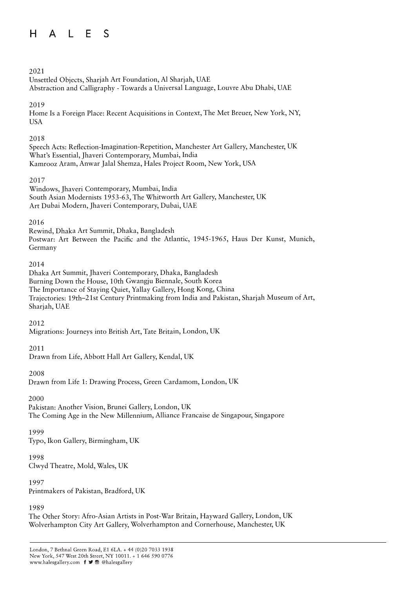#### A L E  $H$  $\mathcal{S}$

# 2021

Unsettled Objects, Sharjah Art Foundation, Al Sharjah, UAE Abstraction and Calligraphy - Towards a Universal Language, Louvre Abu Dhabi, UAE

# 2019

Home Is a Foreign Place: Recent Acquisitions in Context, The Met Breuer, New York, NY, USA

## 2018

Speech Acts: Reflection-Imagination-Repetition, Manchester Art Gallery, Manchester, UK What's Essential, Jhaveri Contemporary, Mumbai, India Kamrooz Aram, Anwar Jalal Shemza, Hales Project Room, New York, USA

# 2017

Windows, Jhaveri Contemporary, Mumbai, India South Asian Modernists 1953-63, The Whitworth Art Gallery, Manchester, UK Art Dubai Modern, Jhaveri Contemporary, Dubai, UAE

# 2016

Rewind, Dhaka Art Summit, Dhaka, Bangladesh Postwar: Art Between the Pacific and the Atlantic, 1945-1965, Haus Der Kunst, Munich, Germany

### 2014

Dhaka Art Summit, Jhaveri Contemporary, Dhaka, Bangladesh Burning Down the House, 10th Gwangju Biennale, South Korea The Importance of Staying Quiet, Yallay Gallery, Hong Kong, China Trajectories: 19th–21st Century Printmaking from India and Pakistan, Sharjah Museum of Art, Sharjah, UAE

# 2012

Migrations: Journeys into British Art, Tate Britain, London, UK

# 2011

Drawn from Life, Abbott Hall Art Gallery, Kendal, UK

### 2008

Drawn from Life 1: Drawing Process, Green Cardamom, London, UK

# 2000

Pakistan: Another Vision, Brunei Gallery, London, UK The Coming Age in the New Millennium, Alliance Francaise de Singapour, Singapore

### 1999

Typo, Ikon Gallery, Birmingham, UK

# 1998

Clwyd Theatre, Mold, Wales, UK

### 1997

Printmakers of Pakistan, Bradford, UK

# 1989

The Other Story: Afro-Asian Artists in Post-War Britain, Hayward Gallery, London, UK Wolverhampton City Art Gallery, Wolverhampton and Cornerhouse, Manchester, UK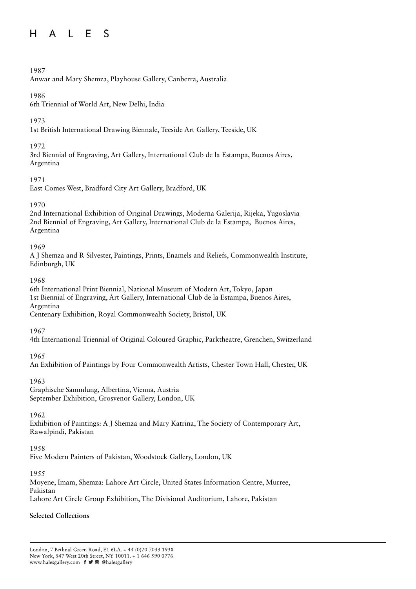#### A L E  $H$  $\mathcal{S}$

# 1987

Anwar and Mary Shemza, Playhouse Gallery, Canberra, Australia

# 1986

6th Triennial of World Art, New Delhi, India

# 1973

1st British International Drawing Biennale, Teeside Art Gallery, Teeside, UK

# 1972

3rd Biennial of Engraving, Art Gallery, International Club de la Estampa, Buenos Aires, Argentina

# 1971

East Comes West, Bradford City Art Gallery, Bradford, UK

# 1970

2nd International Exhibition of Original Drawings, Moderna Galerija, Rijeka, Yugoslavia 2nd Biennial of Engraving, Art Gallery, International Club de la Estampa, Buenos Aires, Argentina

# 1969

A J Shemza and R Silvester, Paintings, Prints, Enamels and Reliefs, Commonwealth Institute, Edinburgh, UK

# 1968

6th International Print Biennial, National Museum of Modern Art, Tokyo, Japan 1st Biennial of Engraving, Art Gallery, International Club de la Estampa, Buenos Aires, Argentina

Centenary Exhibition, Royal Commonwealth Society, Bristol, UK

1967

4th International Triennial of Original Coloured Graphic, Parktheatre, Grenchen, Switzerland

# 1965

An Exhibition of Paintings by Four Commonwealth Artists, Chester Town Hall, Chester, UK

# 1963

Graphische Sammlung, Albertina, Vienna, Austria September Exhibition, Grosvenor Gallery, London, UK

# 1962

Exhibition of Paintings: A J Shemza and Mary Katrina, The Society of Contemporary Art, Rawalpindi, Pakistan

# 1958

Five Modern Painters of Pakistan, Woodstock Gallery, London, UK

# 1955

Moyene, Imam, Shemza: Lahore Art Circle, United States Information Centre, Murree, Pakistan Lahore Art Circle Group Exhibition, The Divisional Auditorium, Lahore, Pakistan

# **Selected Collections**